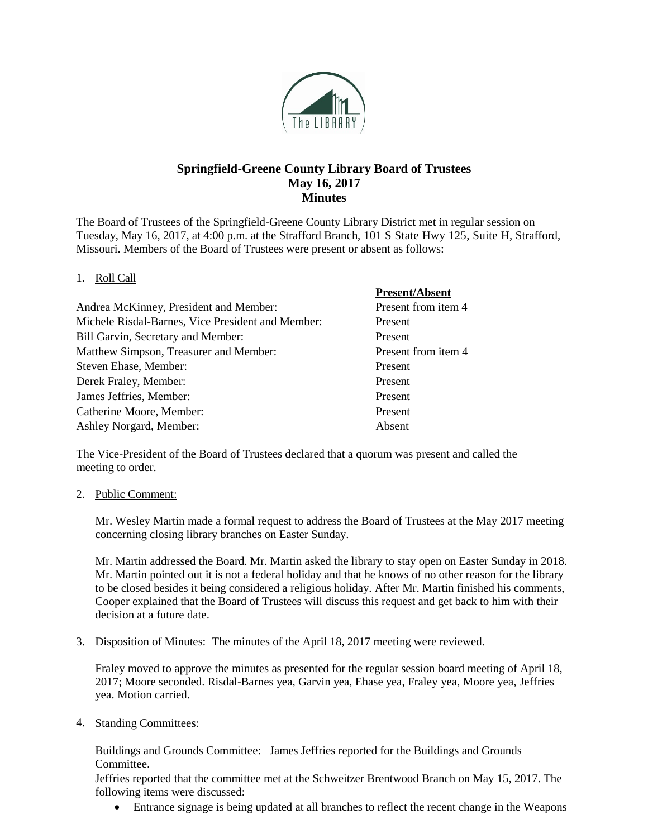

# **Springfield-Greene County Library Board of Trustees May 16, 2017 Minutes**

The Board of Trustees of the Springfield-Greene County Library District met in regular session on Tuesday, May 16, 2017, at 4:00 p.m. at the Strafford Branch, 101 S State Hwy 125, Suite H, Strafford, Missouri. Members of the Board of Trustees were present or absent as follows:

**Present** 

## 1. Roll Call

|                                                   | Present/Absent      |
|---------------------------------------------------|---------------------|
| Andrea McKinney, President and Member:            | Present from item 4 |
| Michele Risdal-Barnes, Vice President and Member: | Present             |
| Bill Garvin, Secretary and Member:                | Present             |
| Matthew Simpson, Treasurer and Member:            | Present from item 4 |
| Steven Ehase, Member:                             | Present             |
| Derek Fraley, Member:                             | Present             |
| James Jeffries, Member:                           | Present             |
| Catherine Moore, Member:                          | Present             |
| Ashley Norgard, Member:                           | Absent              |

The Vice-President of the Board of Trustees declared that a quorum was present and called the meeting to order.

#### 2. Public Comment:

Mr. Wesley Martin made a formal request to address the Board of Trustees at the May 2017 meeting concerning closing library branches on Easter Sunday.

Mr. Martin addressed the Board. Mr. Martin asked the library to stay open on Easter Sunday in 2018. Mr. Martin pointed out it is not a federal holiday and that he knows of no other reason for the library to be closed besides it being considered a religious holiday. After Mr. Martin finished his comments, Cooper explained that the Board of Trustees will discuss this request and get back to him with their decision at a future date.

3. Disposition of Minutes: The minutes of the April 18, 2017 meeting were reviewed.

Fraley moved to approve the minutes as presented for the regular session board meeting of April 18, 2017; Moore seconded. Risdal-Barnes yea, Garvin yea, Ehase yea, Fraley yea, Moore yea, Jeffries yea. Motion carried.

4. Standing Committees:

Buildings and Grounds Committee: James Jeffries reported for the Buildings and Grounds Committee.

Jeffries reported that the committee met at the Schweitzer Brentwood Branch on May 15, 2017. The following items were discussed:

• Entrance signage is being updated at all branches to reflect the recent change in the Weapons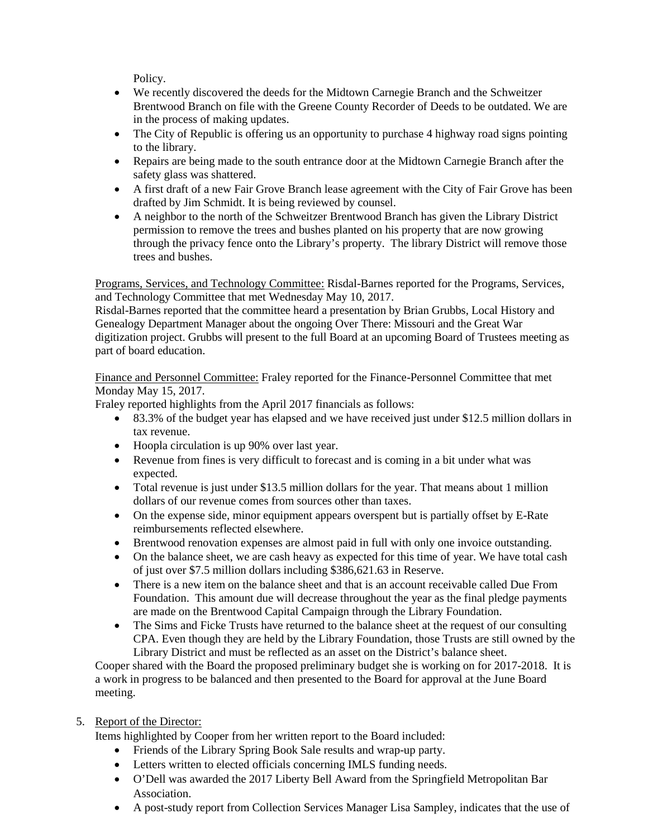Policy.

- We recently discovered the deeds for the Midtown Carnegie Branch and the Schweitzer Brentwood Branch on file with the Greene County Recorder of Deeds to be outdated. We are in the process of making updates.
- The City of Republic is offering us an opportunity to purchase 4 highway road signs pointing to the library.
- Repairs are being made to the south entrance door at the Midtown Carnegie Branch after the safety glass was shattered.
- A first draft of a new Fair Grove Branch lease agreement with the City of Fair Grove has been drafted by Jim Schmidt. It is being reviewed by counsel.
- A neighbor to the north of the Schweitzer Brentwood Branch has given the Library District permission to remove the trees and bushes planted on his property that are now growing through the privacy fence onto the Library's property. The library District will remove those trees and bushes.

Programs, Services, and Technology Committee: Risdal-Barnes reported for the Programs, Services, and Technology Committee that met Wednesday May 10, 2017.

Risdal-Barnes reported that the committee heard a presentation by Brian Grubbs, Local History and Genealogy Department Manager about the ongoing Over There: Missouri and the Great War digitization project. Grubbs will present to the full Board at an upcoming Board of Trustees meeting as part of board education.

Finance and Personnel Committee: Fraley reported for the Finance-Personnel Committee that met Monday May 15, 2017.

Fraley reported highlights from the April 2017 financials as follows:

- 83.3% of the budget year has elapsed and we have received just under \$12.5 million dollars in tax revenue.
- Hoopla circulation is up 90% over last year.
- Revenue from fines is very difficult to forecast and is coming in a bit under what was expected.
- Total revenue is just under \$13.5 million dollars for the year. That means about 1 million dollars of our revenue comes from sources other than taxes.
- On the expense side, minor equipment appears overspent but is partially offset by E-Rate reimbursements reflected elsewhere.
- Brentwood renovation expenses are almost paid in full with only one invoice outstanding.
- On the balance sheet, we are cash heavy as expected for this time of year. We have total cash of just over \$7.5 million dollars including \$386,621.63 in Reserve.
- There is a new item on the balance sheet and that is an account receivable called Due From Foundation. This amount due will decrease throughout the year as the final pledge payments are made on the Brentwood Capital Campaign through the Library Foundation.
- The Sims and Ficke Trusts have returned to the balance sheet at the request of our consulting CPA. Even though they are held by the Library Foundation, those Trusts are still owned by the Library District and must be reflected as an asset on the District's balance sheet.

Cooper shared with the Board the proposed preliminary budget she is working on for 2017-2018. It is a work in progress to be balanced and then presented to the Board for approval at the June Board meeting.

# 5. Report of the Director:

Items highlighted by Cooper from her written report to the Board included:

- Friends of the Library Spring Book Sale results and wrap-up party.
- Letters written to elected officials concerning IMLS funding needs.
- O'Dell was awarded the 2017 Liberty Bell Award from the Springfield Metropolitan Bar Association.
- A post-study report from Collection Services Manager Lisa Sampley, indicates that the use of